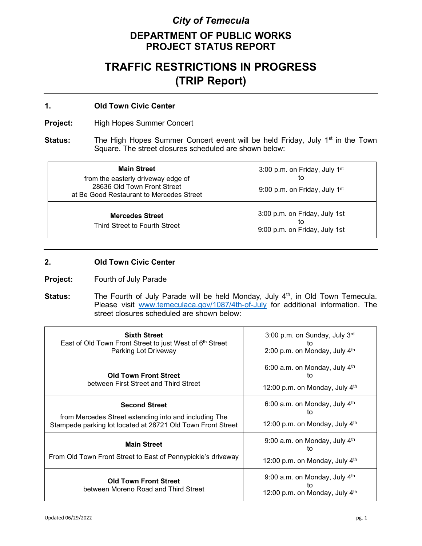## *City of Temecula*

## **DEPARTMENT OF PUBLIC WORKS PROJECT STATUS REPORT**

# **TRAFFIC RESTRICTIONS IN PROGRESS (TRIP Report)**

### **1. Old Town Civic Center**

**Project:** High Hopes Summer Concert

**Status:** The High Hopes Summer Concert event will be held Friday, July 1<sup>st</sup> in the Town Square. The street closures scheduled are shown below:

| <b>Main Street</b><br>from the easterly driveway edge of<br>28636 Old Town Front Street<br>at Be Good Restaurant to Mercedes Street | 3:00 p.m. on Friday, July 1 <sup>st</sup><br>to<br>9:00 p.m. on Friday, July 1 <sup>st</sup> |
|-------------------------------------------------------------------------------------------------------------------------------------|----------------------------------------------------------------------------------------------|
| <b>Mercedes Street</b><br>Third Street to Fourth Street                                                                             | 3:00 p.m. on Friday, July 1st<br>tο<br>9:00 p.m. on Friday, July 1st                         |

### **2. Old Town Civic Center**

**Project:** Fourth of July Parade

**Status:** The Fourth of July Parade will be held Monday, July 4<sup>th</sup>, in Old Town Temecula. Please visit [www.temeculaca.gov/1087/4th-of-July](http://www.temeculaca.gov/1087/4th-of-July) for additional information. The street closures scheduled are shown below:

| <b>Sixth Street</b><br>East of Old Town Front Street to just West of 6th Street<br>Parking Lot Driveway                                      | 3:00 p.m. on Sunday, July 3rd<br>tΟ<br>2:00 p.m. on Monday, July 4th    |
|----------------------------------------------------------------------------------------------------------------------------------------------|-------------------------------------------------------------------------|
| <b>Old Town Front Street</b><br>between First Street and Third Street                                                                        | 6:00 a.m. on Monday, July $4th$<br>tο<br>12:00 p.m. on Monday, July 4th |
| <b>Second Street</b><br>from Mercedes Street extending into and including The<br>Stampede parking lot located at 28721 Old Town Front Street | 6:00 a.m. on Monday, July $4th$<br>to<br>12:00 p.m. on Monday, July 4th |
| <b>Main Street</b><br>From Old Town Front Street to East of Pennypickle's driveway                                                           | 9:00 a.m. on Monday, July $4th$<br>īΩ<br>12:00 p.m. on Monday, July 4th |
| <b>Old Town Front Street</b><br>between Moreno Road and Third Street                                                                         | 9:00 a.m. on Monday, July $4th$<br>tο<br>12:00 p.m. on Monday, July 4th |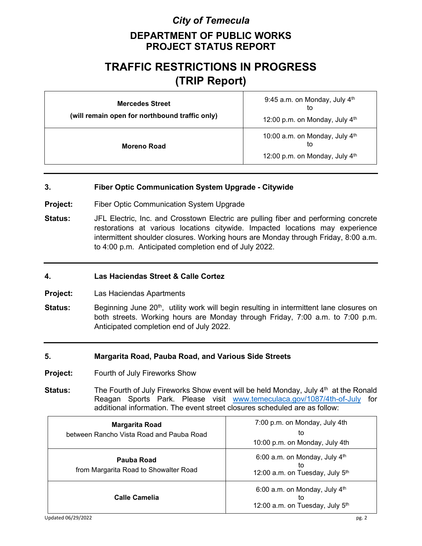## *City of Temecula*

## **DEPARTMENT OF PUBLIC WORKS PROJECT STATUS REPORT**

# **TRAFFIC RESTRICTIONS IN PROGRESS (TRIP Report)**

| <b>Mercedes Street</b><br>(will remain open for northbound traffic only) | 9:45 a.m. on Monday, July 4th<br>to<br>12:00 p.m. on Monday, July 4th  |
|--------------------------------------------------------------------------|------------------------------------------------------------------------|
| Moreno Road                                                              | 10:00 a.m. on Monday, July 4th<br>to<br>12:00 p.m. on Monday, July 4th |

#### **3. Fiber Optic Communication System Upgrade - Citywide**

- **Project:** Fiber Optic Communication System Upgrade
- **Status:** JFL Electric, Inc. and Crosstown Electric are pulling fiber and performing concrete restorations at various locations citywide. Impacted locations may experience intermittent shoulder closures. Working hours are Monday through Friday, 8:00 a.m. to 4:00 p.m. Anticipated completion end of July 2022.

#### **4. Las Haciendas Street & Calle Cortez**

- **Project:** Las Haciendas Apartments
- **Status:** Beginning June 20<sup>th</sup>, utility work will begin resulting in intermittent lane closures on both streets. Working hours are Monday through Friday, 7:00 a.m. to 7:00 p.m. Anticipated completion end of July 2022.

#### **5. Margarita Road, Pauba Road, and Various Side Streets**

- **Project:** Fourth of July Fireworks Show
- **Status:** The Fourth of July Fireworks Show event will be held Monday, July 4<sup>th</sup> at the Ronald Reagan Sports Park. Please visit [www.temeculaca.gov/1087/4th-of-July](http://www.temeculaca.gov/1087/4th-of-July) for additional information. The event street closures scheduled are as follow:

| <b>Margarita Road</b><br>between Rancho Vista Road and Pauba Road | 7:00 p.m. on Monday, July 4th<br>to<br>10:00 p.m. on Monday, July 4th    |
|-------------------------------------------------------------------|--------------------------------------------------------------------------|
| Pauba Road<br>from Margarita Road to Showalter Road               | 6:00 a.m. on Monday, July $4th$<br>to<br>12:00 a.m. on Tuesday, July 5th |
| Calle Camelia                                                     | 6:00 a.m. on Monday, July $4th$<br>to<br>12:00 a.m. on Tuesday, July 5th |